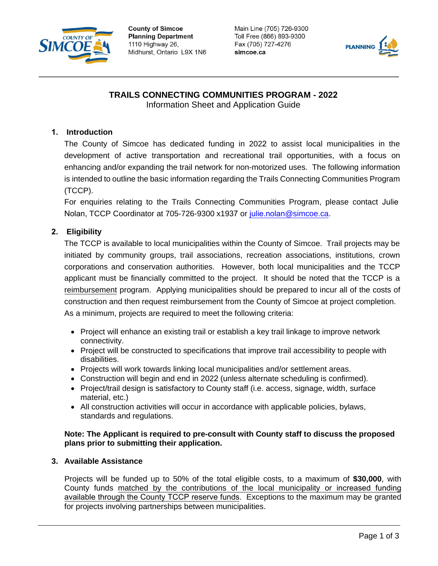

**County of Simcoe Planning Department** 1110 Highway 26, Midhurst, Ontario L9X 1N6 Main Line (705) 726-9300 Toll Free (866) 893-9300 Fax (705) 727-4276 simcoe.ca



# **TRAILS CONNECTING COMMUNITIES PROGRAM - 2022**

Information Sheet and Application Guide

## **1. Introduction**

The County of Simcoe has dedicated funding in 2022 to assist local municipalities in the development of active transportation and recreational trail opportunities, with a focus on enhancing and/or expanding the trail network for non-motorized uses. The following information is intended to outline the basic information regarding the Trails Connecting Communities Program (TCCP).

For enquiries relating to the Trails Connecting Communities Program, please contact Julie Nolan, TCCP Coordinator at 705-726-9300 x1937 or julie.nolan[@simcoe.ca.](mailto:trails@simcoe.ca)

## **2. Eligibility**

The TCCP is available to local municipalities within the County of Simcoe. Trail projects may be initiated by community groups, trail associations, recreation associations, institutions, crown corporations and conservation authorities. However, both local municipalities and the TCCP applicant must be financially committed to the project. It should be noted that the TCCP is a reimbursement program. Applying municipalities should be prepared to incur all of the costs of construction and then request reimbursement from the County of Simcoe at project completion. As a minimum, projects are required to meet the following criteria:

- Project will enhance an existing trail or establish a key trail linkage to improve network connectivity.
- Project will be constructed to specifications that improve trail accessibility to people with disabilities.
- Projects will work towards linking local municipalities and/or settlement areas.
- Construction will begin and end in 2022 (unless alternate scheduling is confirmed).
- Project/trail design is satisfactory to County staff (i.e. access, signage, width, surface material, etc.)
- All construction activities will occur in accordance with applicable policies, bylaws, standards and regulations.

#### **Note: The Applicant is required to pre-consult with County staff to discuss the proposed plans prior to submitting their application.**

#### **3. Available Assistance**

Projects will be funded up to 50% of the total eligible costs, to a maximum of **\$30,000**, with County funds matched by the contributions of the local municipality or increased funding available through the County TCCP reserve funds. Exceptions to the maximum may be granted for projects involving partnerships between municipalities.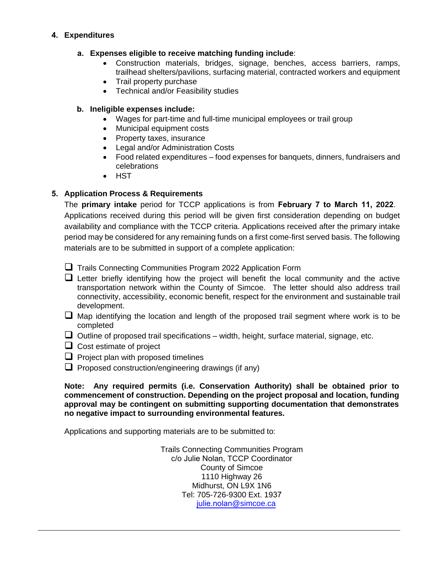## **4. Expenditures**

### **a. Expenses eligible to receive matching funding include**:

- Construction materials, bridges, signage, benches, access barriers, ramps, trailhead shelters/pavilions, surfacing material, contracted workers and equipment
- Trail property purchase
- Technical and/or Feasibility studies

## **b. Ineligible expenses include:**

- Wages for part-time and full-time municipal employees or trail group
- Municipal equipment costs
- Property taxes, insurance
- Legal and/or Administration Costs
- Food related expenditures food expenses for banquets, dinners, fundraisers and celebrations
- HST

## **5. Application Process & Requirements**

The **primary intake** period for TCCP applications is from **February 7 to March 11, 2022**. Applications received during this period will be given first consideration depending on budget availability and compliance with the TCCP criteria. Applications received after the primary intake period may be considered for any remaining funds on a first come-first served basis. The following materials are to be submitted in support of a complete application:

 $\Box$  Trails Connecting Communities Program 2022 Application Form

- $\Box$  Letter briefly identifying how the project will benefit the local community and the active transportation network within the County of Simcoe. The letter should also address trail connectivity, accessibility, economic benefit, respect for the environment and sustainable trail development.
- $\Box$  Map identifying the location and length of the proposed trail segment where work is to be completed
- $\Box$  Outline of proposed trail specifications width, height, surface material, signage, etc.
- $\Box$  Cost estimate of project
- $\Box$  Project plan with proposed timelines
- $\Box$  Proposed construction/engineering drawings (if any)

**Note: Any required permits (i.e. Conservation Authority) shall be obtained prior to commencement of construction. Depending on the project proposal and location, funding approval may be contingent on submitting supporting documentation that demonstrates no negative impact to surrounding environmental features.** 

Applications and supporting materials are to be submitted to:

Trails Connecting Communities Program c/o Julie Nolan, TCCP Coordinator County of Simcoe 1110 Highway 26 Midhurst, ON L9X 1N6 Tel: 705-726-9300 Ext. 1937 j[ulie.nolan](mailto:trails@simcoe.ca)@simcoe.ca